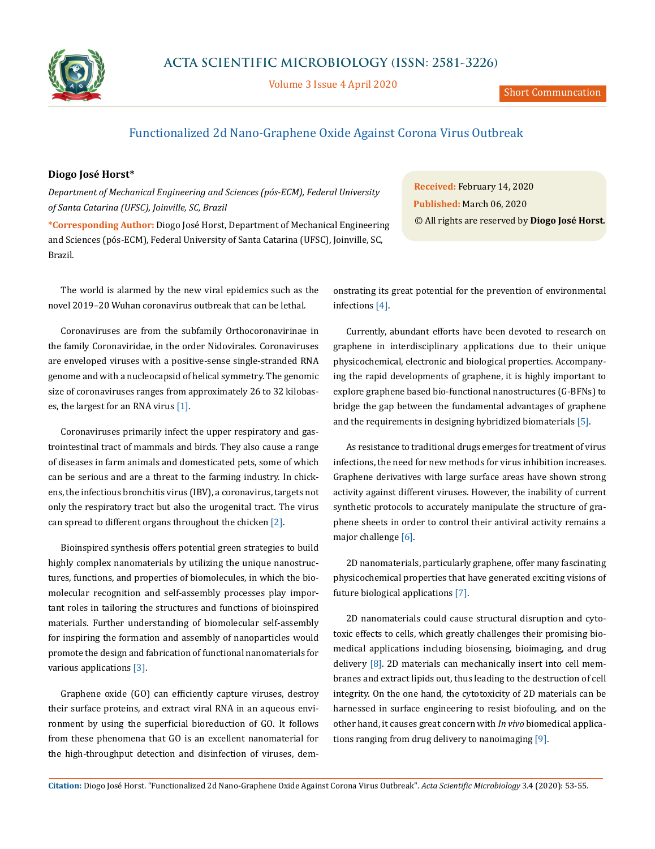

Volume 3 Issue 4 April 2020

## Functionalized 2d Nano-Graphene Oxide Against Corona Virus Outbreak

## **Diogo José Horst\***

*Department of Mechanical Engineering and Sciences (pós-ECM), Federal University of Santa Catarina (UFSC), Joinville, SC, Brazil*

**\*Corresponding Author:** Diogo José Horst, Department of Mechanical Engineering and Sciences (pós-ECM), Federal University of Santa Catarina (UFSC), Joinville, SC, Brazil.

The world is alarmed by the new viral epidemics such as the novel 2019–20 Wuhan coronavirus outbreak that can be lethal.

Coronaviruses are from the subfamily Orthocoronavirinae in the family Coronaviridae, in the order Nidovirales. Coronaviruses are enveloped viruses with a positive-sense single-stranded RNA genome and with a nucleocapsid of helical symmetry. The genomic size of coronaviruses ranges from approximately 26 to 32 kilobases, the largest for an RNA virus [1].

Coronaviruses primarily infect the upper respiratory and gastrointestinal tract of mammals and birds. They also cause a range of diseases in farm animals and domesticated pets, some of which can be serious and are a threat to the farming industry. In chickens, the infectious bronchitis virus (IBV), a coronavirus, targets not only the respiratory tract but also the urogenital tract. The virus can spread to different organs throughout the chicken [2].

Bioinspired synthesis offers potential green strategies to build highly complex nanomaterials by utilizing the unique nanostructures, functions, and properties of biomolecules, in which the biomolecular recognition and self-assembly processes play important roles in tailoring the structures and functions of bioinspired materials. Further understanding of biomolecular self-assembly for inspiring the formation and assembly of nanoparticles would promote the design and fabrication of functional nanomaterials for various applications [3].

Graphene oxide (GO) can efficiently capture viruses, destroy their surface proteins, and extract viral RNA in an aqueous environment by using the superficial bioreduction of GO. It follows from these phenomena that GO is an excellent nanomaterial for the high-throughput detection and disinfection of viruses, dem-

**Received:** February 14, 2020 **Published:** March 06, 2020 © All rights are reserved by **Diogo José Horst***.*

onstrating its great potential for the prevention of environmental infections [4].

Currently, abundant efforts have been devoted to research on graphene in interdisciplinary applications due to their unique physicochemical, electronic and biological properties. Accompanying the rapid developments of graphene, it is highly important to explore graphene based bio-functional nanostructures (G-BFNs) to bridge the gap between the fundamental advantages of graphene and the requirements in designing hybridized biomaterials [5].

As resistance to traditional drugs emerges for treatment of virus infections, the need for new methods for virus inhibition increases. Graphene derivatives with large surface areas have shown strong activity against different viruses. However, the inability of current synthetic protocols to accurately manipulate the structure of graphene sheets in order to control their antiviral activity remains a major challenge [6].

2D nanomaterials, particularly graphene, offer many fascinating physicochemical properties that have generated exciting visions of future biological applications [7].

2D nanomaterials could cause structural disruption and cytotoxic effects to cells, which greatly challenges their promising biomedical applications including biosensing, bioimaging, and drug delivery [8]. 2D materials can mechanically insert into cell membranes and extract lipids out, thus leading to the destruction of cell integrity. On the one hand, the cytotoxicity of 2D materials can be harnessed in surface engineering to resist biofouling, and on the other hand, it causes great concern with *In vivo* biomedical applications ranging from drug delivery to nanoimaging [9].

**Citation:** Diogo José Horst*.* "Functionalized 2d Nano-Graphene Oxide Against Corona Virus Outbreak". *Acta Scientific Microbiology* 3.4 (2020): 53-55.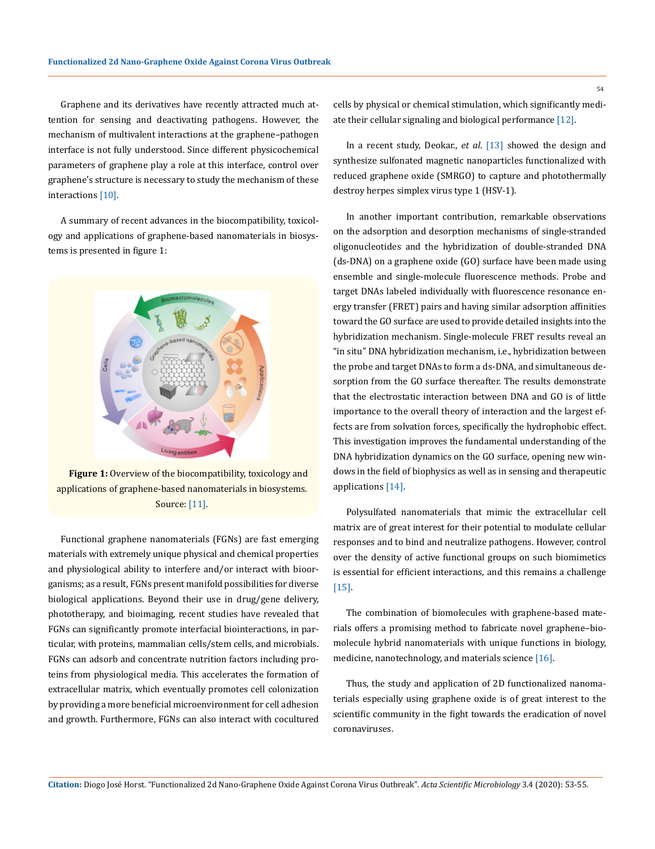Graphene and its derivatives have recently attracted much attention for sensing and deactivating pathogens. However, the mechanism of multivalent interactions at the graphene–pathogen interface is not fully understood. Since different physicochemical parameters of graphene play a role at this interface, control over graphene's structure is necessary to study the mechanism of these interactions [10].

A summary of recent advances in the biocompatibility, toxicology and applications of graphene-based nanomaterials in biosystems is presented in figure 1:



**Figure 1:** Overview of the biocompatibility, toxicology and applications of graphene-based nanomaterials in biosystems. Source: [11].

Functional graphene nanomaterials (FGNs) are fast emerging materials with extremely unique physical and chemical properties and physiological ability to interfere and/or interact with bioorganisms; as a result, FGNs present manifold possibilities for diverse biological applications. Beyond their use in drug/gene delivery, phototherapy, and bioimaging, recent studies have revealed that FGNs can significantly promote interfacial biointeractions, in particular, with proteins, mammalian cells/stem cells, and microbials. FGNs can adsorb and concentrate nutrition factors including proteins from physiological media. This accelerates the formation of extracellular matrix, which eventually promotes cell colonization by providing a more beneficial microenvironment for cell adhesion and growth. Furthermore, FGNs can also interact with cocultured 54

cells by physical or chemical stimulation, which significantly mediate their cellular signaling and biological performance [12].

In a recent study, Deokar., *et al*. [13] showed the design and synthesize sulfonated magnetic nanoparticles functionalized with reduced graphene oxide (SMRGO) to capture and photothermally destroy herpes simplex virus type 1 (HSV-1).

In another important contribution, remarkable observations on the adsorption and desorption mechanisms of single-stranded oligonucleotides and the hybridization of double-stranded DNA (ds-DNA) on a graphene oxide (GO) surface have been made using ensemble and single-molecule fluorescence methods. Probe and target DNAs labeled individually with fluorescence resonance energy transfer (FRET) pairs and having similar adsorption affinities toward the GO surface are used to provide detailed insights into the hybridization mechanism. Single-molecule FRET results reveal an "in situ" DNA hybridization mechanism, i.e., hybridization between the probe and target DNAs to form a ds-DNA, and simultaneous desorption from the GO surface thereafter. The results demonstrate that the electrostatic interaction between DNA and GO is of little importance to the overall theory of interaction and the largest effects are from solvation forces, specifically the hydrophobic effect. This investigation improves the fundamental understanding of the DNA hybridization dynamics on the GO surface, opening new windows in the field of biophysics as well as in sensing and therapeutic applications [14].

Polysulfated nanomaterials that mimic the extracellular cell matrix are of great interest for their potential to modulate cellular responses and to bind and neutralize pathogens. However, control over the density of active functional groups on such biomimetics is essential for efficient interactions, and this remains a challenge [15].

The combination of biomolecules with graphene-based materials offers a promising method to fabricate novel graphene–biomolecule hybrid nanomaterials with unique functions in biology, medicine, nanotechnology, and materials science [16].

Thus, the study and application of 2D functionalized nanomaterials especially using graphene oxide is of great interest to the scientific community in the fight towards the eradication of novel coronaviruses.